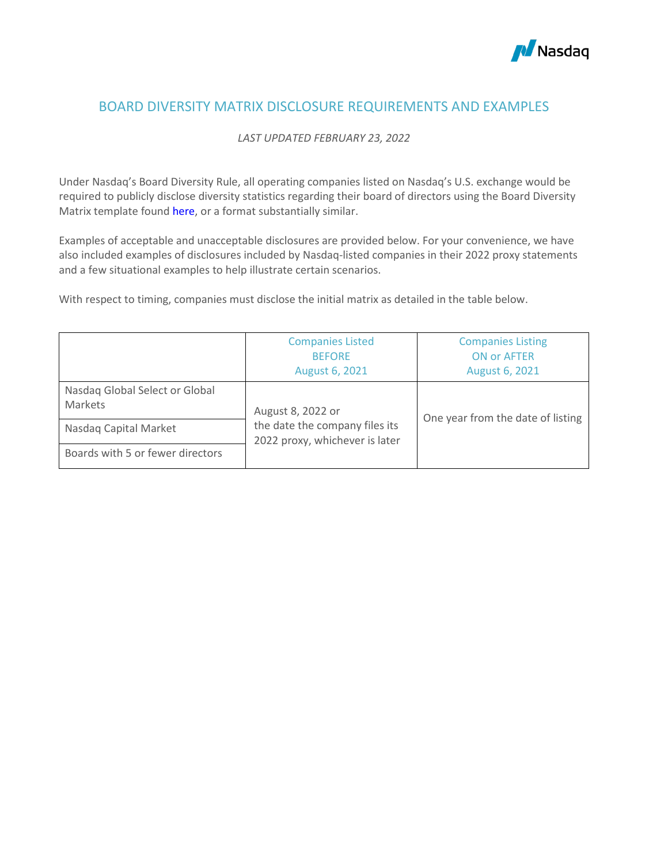

# BOARD DIVERSITY MATRIX DISCLOSURE REQUIREMENTS AND EXAMPLES

## *LAST UPDATED FEBRUARY 23, 2022*

Under Nasdaq's Board Diversity Rule, all operating companies listed on Nasdaq's U.S. exchange would be required to publicly disclose diversity statistics regarding their board of directors using the Board Diversity Matrix template found [here,](https://listingcenter.nasdaq.com/assets/Board%20Diversity%20Disclosure%20Matrix.pdf) or a format substantially similar.

Examples of acceptable and unacceptable disclosures are provided below. For your convenience, we have also included examples of disclosures included by Nasdaq-listed companies in their 2022 proxy statements and a few situational examples to help illustrate certain scenarios.

With respect to timing, companies must disclose the initial matrix as detailed in the table [below.](https://listingcenter.nasdaq.com/assets/New%20Companies%20Listing%20on%20Nasdaq.pdf)

|                                           | <b>Companies Listed</b><br><b>BEFORE</b><br>August 6, 2021       | <b>Companies Listing</b><br><b>ON or AFTER</b><br>August 6, 2021 |  |  |  |
|-------------------------------------------|------------------------------------------------------------------|------------------------------------------------------------------|--|--|--|
| Nasdaq Global Select or Global<br>Markets | August 8, 2022 or                                                |                                                                  |  |  |  |
| Nasdaq Capital Market                     | the date the company files its<br>2022 proxy, whichever is later | One year from the date of listing                                |  |  |  |
| Boards with 5 or fewer directors          |                                                                  |                                                                  |  |  |  |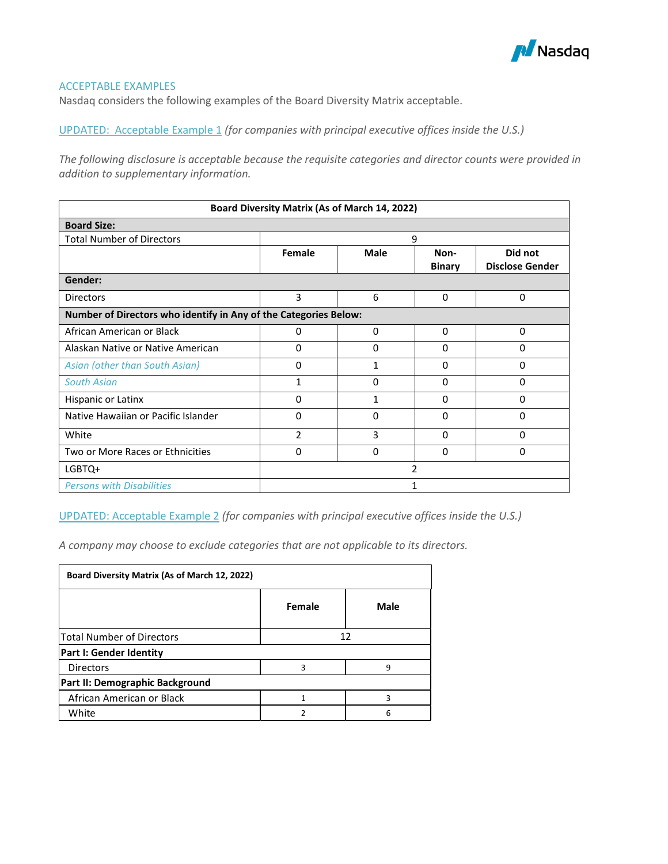

### ACCEPTABLE EXAMPLES

Nasdaq considers the following examples of the Board Diversity Matrix acceptable.

UPDATED: Acceptable Example 1 *(for companies with principal executive offices inside the U.S.)*

*The following disclosure is acceptable because the requisite categories and director counts were provided in addition to supplementary information.* 

| Board Diversity Matrix (As of March 14, 2022)                    |                |              |               |                        |  |  |  |  |
|------------------------------------------------------------------|----------------|--------------|---------------|------------------------|--|--|--|--|
| <b>Board Size:</b>                                               |                |              |               |                        |  |  |  |  |
| <b>Total Number of Directors</b>                                 |                |              | 9             |                        |  |  |  |  |
|                                                                  | Female         | <b>Male</b>  | Non-          | Did not                |  |  |  |  |
|                                                                  |                |              | <b>Binary</b> | <b>Disclose Gender</b> |  |  |  |  |
| Gender:                                                          |                |              |               |                        |  |  |  |  |
| <b>Directors</b>                                                 | 3              | 6            | 0             | 0                      |  |  |  |  |
| Number of Directors who identify in Any of the Categories Below: |                |              |               |                        |  |  |  |  |
| African American or Black                                        | 0              | 0            | 0             | $\Omega$               |  |  |  |  |
| Alaskan Native or Native American                                | 0              | $\Omega$     | 0             | $\Omega$               |  |  |  |  |
| Asian (other than South Asian)                                   | 0              | 1            | 0             | 0                      |  |  |  |  |
| <b>South Asian</b>                                               | 1              | 0            | 0             | 0                      |  |  |  |  |
| Hispanic or Latinx                                               | 0              | $\mathbf{1}$ | $\Omega$      | $\Omega$               |  |  |  |  |
| Native Hawaiian or Pacific Islander                              | 0              | $\Omega$     | 0             | $\Omega$               |  |  |  |  |
| White                                                            | $\overline{2}$ | 3            | 0             | $\Omega$               |  |  |  |  |
| Two or More Races or Ethnicities                                 | 0              | 0            | 0             | 0                      |  |  |  |  |
| LGBTQ+                                                           |                |              | 2             |                        |  |  |  |  |
| <b>Persons with Disabilities</b>                                 |                |              |               |                        |  |  |  |  |

UPDATED: Acceptable Example 2 *(for companies with principal executive offices inside the U.S.)*

*A company may choose to exclude categories that are not applicable to its directors.* 

| Board Diversity Matrix (As of March 12, 2022) |        |      |  |  |  |  |  |  |
|-----------------------------------------------|--------|------|--|--|--|--|--|--|
|                                               | Female | Male |  |  |  |  |  |  |
| <b>Total Number of Directors</b>              | 12     |      |  |  |  |  |  |  |
| Part I: Gender Identity                       |        |      |  |  |  |  |  |  |
| <b>Directors</b>                              | ς      | q    |  |  |  |  |  |  |
| Part II: Demographic Background               |        |      |  |  |  |  |  |  |
| African American or Black                     |        |      |  |  |  |  |  |  |
| White                                         |        |      |  |  |  |  |  |  |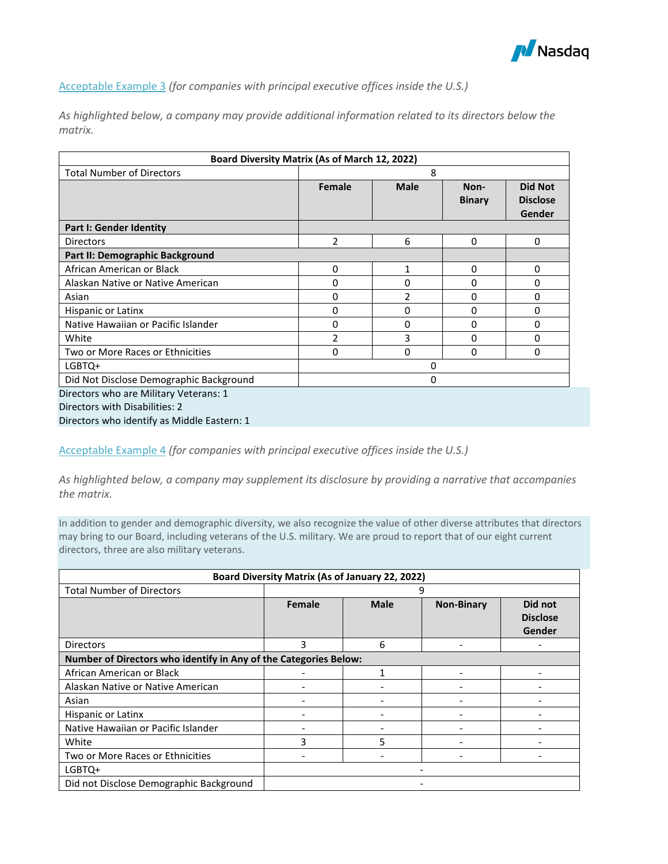

Acceptable Example 3 *(for companies with principal executive offices inside the U.S.)*

*As highlighted below, a company may provide additional information related to its directors below the matrix.*

| Board Diversity Matrix (As of March 12, 2022) |               |              |                       |                                             |  |  |  |  |
|-----------------------------------------------|---------------|--------------|-----------------------|---------------------------------------------|--|--|--|--|
| <b>Total Number of Directors</b>              |               | 8            |                       |                                             |  |  |  |  |
|                                               | <b>Female</b> | <b>Male</b>  | Non-<br><b>Binary</b> | <b>Did Not</b><br><b>Disclose</b><br>Gender |  |  |  |  |
| <b>Part I: Gender Identity</b>                |               |              |                       |                                             |  |  |  |  |
| <b>Directors</b>                              | 2             | 6            | $\Omega$              | 0                                           |  |  |  |  |
| Part II: Demographic Background               |               |              |                       |                                             |  |  |  |  |
| African American or Black                     | 0             | $\mathbf{1}$ | $\Omega$              | 0                                           |  |  |  |  |
| Alaskan Native or Native American             | 0             | 0            | 0                     | 0                                           |  |  |  |  |
| Asian                                         | 0             | 2            | 0                     | 0                                           |  |  |  |  |
| Hispanic or Latinx                            | 0             | 0            | 0                     | 0                                           |  |  |  |  |
| Native Hawaiian or Pacific Islander           | 0             | $\Omega$     | 0                     | 0                                           |  |  |  |  |
| White                                         | 2             | 3            | 0                     | 0                                           |  |  |  |  |
| Two or More Races or Ethnicities              | 0             | 0            | $\Omega$              | 0                                           |  |  |  |  |
| LGBTQ+                                        |               | 0            |                       |                                             |  |  |  |  |
| Did Not Disclose Demographic Background       |               | 0            |                       |                                             |  |  |  |  |
| Directors who are Military Veterans: 1        |               |              |                       |                                             |  |  |  |  |
| Directors with Disabilities: 2                |               |              |                       |                                             |  |  |  |  |
| Directors who identify as Middle Eastern: 1   |               |              |                       |                                             |  |  |  |  |

Acceptable Example 4 *(for companies with principal executive offices inside the U.S.)*

*As highlighted below, a company may supplement its disclosure by providing a narrative that accompanies the matrix.* 

In addition to gender and demographic diversity, we also recognize the value of other diverse attributes that directors may bring to our Board, including veterans of the U.S. military. We are proud to report that of our eight current directors, three are also military veterans.

| Board Diversity Matrix (As of January 22, 2022)                  |        |             |                   |                                      |  |  |  |
|------------------------------------------------------------------|--------|-------------|-------------------|--------------------------------------|--|--|--|
| <b>Total Number of Directors</b>                                 |        |             | 9                 |                                      |  |  |  |
|                                                                  | Female | <b>Male</b> | <b>Non-Binary</b> | Did not<br><b>Disclose</b><br>Gender |  |  |  |
| <b>Directors</b>                                                 | 3      | 6           | -                 |                                      |  |  |  |
| Number of Directors who identify in Any of the Categories Below: |        |             |                   |                                      |  |  |  |
| African American or Black                                        |        |             |                   |                                      |  |  |  |
| Alaskan Native or Native American                                |        |             |                   |                                      |  |  |  |
| Asian                                                            |        |             |                   |                                      |  |  |  |
| Hispanic or Latinx                                               |        |             |                   |                                      |  |  |  |
| Native Hawaiian or Pacific Islander                              |        |             |                   |                                      |  |  |  |
| White                                                            | 3      | 5           |                   |                                      |  |  |  |
| Two or More Races or Ethnicities                                 |        |             |                   |                                      |  |  |  |
| LGBTQ+                                                           |        |             |                   |                                      |  |  |  |
| Did not Disclose Demographic Background                          |        |             |                   |                                      |  |  |  |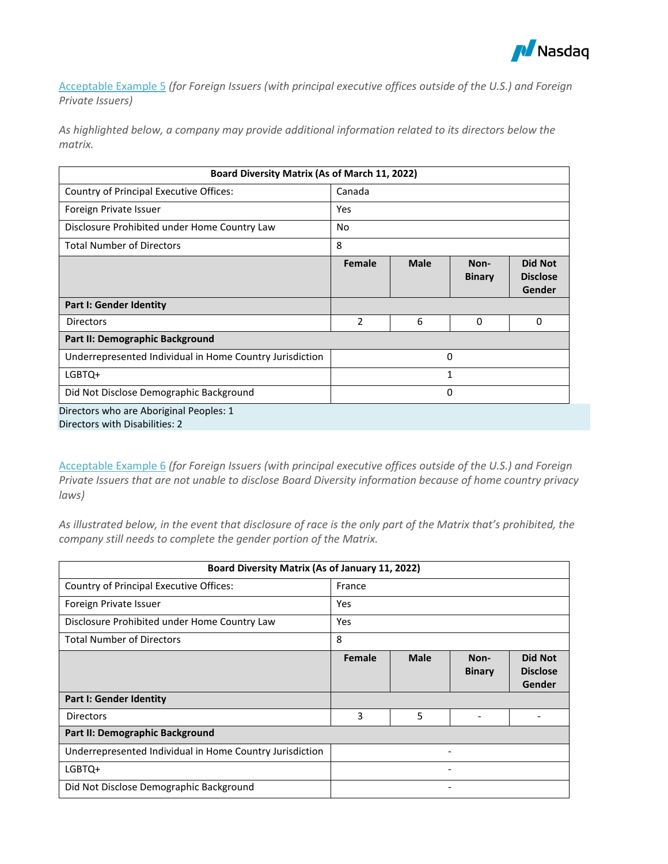

Acceptable Example 5 *(for Foreign Issuers (with principal executive offices outside of the U.S.) and Foreign Private Issuers)*

*As highlighted below, a company may provide additional information related to its directors below the matrix.*

| Board Diversity Matrix (As of March 11, 2022)                             |                |              |                       |                                             |  |  |  |  |
|---------------------------------------------------------------------------|----------------|--------------|-----------------------|---------------------------------------------|--|--|--|--|
| Country of Principal Executive Offices:                                   | Canada         |              |                       |                                             |  |  |  |  |
| Foreign Private Issuer                                                    | Yes            |              |                       |                                             |  |  |  |  |
| Disclosure Prohibited under Home Country Law                              | No             |              |                       |                                             |  |  |  |  |
| <b>Total Number of Directors</b>                                          | 8              |              |                       |                                             |  |  |  |  |
|                                                                           | Female         | <b>Male</b>  | Non-<br><b>Binary</b> | <b>Did Not</b><br><b>Disclose</b><br>Gender |  |  |  |  |
| Part I: Gender Identity                                                   |                |              |                       |                                             |  |  |  |  |
| <b>Directors</b>                                                          | $\overline{2}$ | 6            | 0                     | 0                                           |  |  |  |  |
| Part II: Demographic Background                                           |                |              |                       |                                             |  |  |  |  |
| Underrepresented Individual in Home Country Jurisdiction                  |                |              | 0                     |                                             |  |  |  |  |
| LGBTQ+                                                                    |                | $\mathbf{1}$ |                       |                                             |  |  |  |  |
| Did Not Disclose Demographic Background                                   | 0              |              |                       |                                             |  |  |  |  |
| Directors who are Aboriginal Peoples: 1<br>Directors with Disabilities: 2 |                |              |                       |                                             |  |  |  |  |

Acceptable Example 6 *(for Foreign Issuers (with principal executive offices outside of the U.S.) and Foreign Private Issuers that are not unable to disclose Board Diversity information because of home country privacy laws)*

*As illustrated below, in the event that disclosure of race is the only part of the Matrix that's prohibited, the company still needs to complete the gender portion of the Matrix.* 

| Board Diversity Matrix (As of January 11, 2022)          |        |             |                       |                                             |  |  |  |  |
|----------------------------------------------------------|--------|-------------|-----------------------|---------------------------------------------|--|--|--|--|
| Country of Principal Executive Offices:                  | France |             |                       |                                             |  |  |  |  |
| Foreign Private Issuer                                   | Yes    |             |                       |                                             |  |  |  |  |
| Disclosure Prohibited under Home Country Law             | Yes    |             |                       |                                             |  |  |  |  |
| <b>Total Number of Directors</b>                         | 8      |             |                       |                                             |  |  |  |  |
|                                                          | Female | <b>Male</b> | Non-<br><b>Binary</b> | <b>Did Not</b><br><b>Disclose</b><br>Gender |  |  |  |  |
| Part I: Gender Identity                                  |        |             |                       |                                             |  |  |  |  |
| <b>Directors</b>                                         | 3      | 5           |                       |                                             |  |  |  |  |
| Part II: Demographic Background                          |        |             |                       |                                             |  |  |  |  |
| Underrepresented Individual in Home Country Jurisdiction |        |             | -                     |                                             |  |  |  |  |
| LGBTQ+                                                   |        |             | -                     |                                             |  |  |  |  |
| Did Not Disclose Demographic Background                  |        |             | -                     |                                             |  |  |  |  |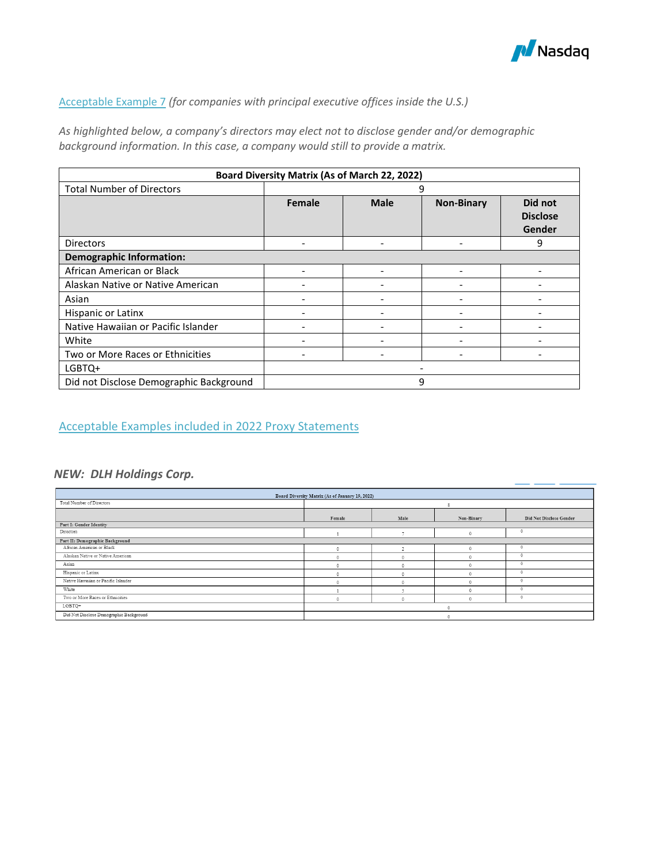

### Acceptable Example 7 *(for companies with principal executive offices inside the U.S.)*

*As highlighted below, a company's directors may elect not to disclose gender and/or demographic background information. In this case, a company would still to provide a matrix.* 

| <b>Board Diversity Matrix (As of March 22, 2022)</b> |        |                          |                   |                                      |  |  |  |
|------------------------------------------------------|--------|--------------------------|-------------------|--------------------------------------|--|--|--|
| <b>Total Number of Directors</b>                     |        |                          | 9                 |                                      |  |  |  |
|                                                      | Female | <b>Male</b>              | <b>Non-Binary</b> | Did not<br><b>Disclose</b><br>Gender |  |  |  |
| <b>Directors</b>                                     |        |                          |                   | 9                                    |  |  |  |
| <b>Demographic Information:</b>                      |        |                          |                   |                                      |  |  |  |
| African American or Black                            |        | $\overline{\phantom{0}}$ |                   |                                      |  |  |  |
| Alaskan Native or Native American                    |        |                          |                   |                                      |  |  |  |
| Asian                                                |        |                          |                   |                                      |  |  |  |
| Hispanic or Latinx                                   |        |                          |                   |                                      |  |  |  |
| Native Hawaiian or Pacific Islander                  |        |                          |                   |                                      |  |  |  |
| White                                                |        |                          |                   |                                      |  |  |  |
| Two or More Races or Ethnicities                     |        |                          |                   |                                      |  |  |  |
| LGBTQ+                                               |        |                          |                   |                                      |  |  |  |
| Did not Disclose Demographic Background              |        |                          | 9                 |                                      |  |  |  |

## Acceptable Examples included in 2022 Proxy Statements

## *NEW: DLH Holdings Corp.*

| Board Diversity Matrix (As of January 19, 2022) |          |            |            |                         |  |  |  |  |
|-------------------------------------------------|----------|------------|------------|-------------------------|--|--|--|--|
| Total Number of Directors                       |          |            |            |                         |  |  |  |  |
|                                                 | Female   | Male       | Non-Binary | Did Not Disclose Gender |  |  |  |  |
| Part I: Gender Identity                         |          |            |            |                         |  |  |  |  |
| Directors                                       |          |            |            |                         |  |  |  |  |
| Part II: Demographic Background                 |          |            |            |                         |  |  |  |  |
| African American or Black                       |          |            |            |                         |  |  |  |  |
| Alaskan Native or Native American               |          |            |            |                         |  |  |  |  |
| Asian                                           |          |            |            |                         |  |  |  |  |
| Hispanic or Latinx                              |          |            |            |                         |  |  |  |  |
| Native Hawaiian or Pacific Islander             |          |            |            |                         |  |  |  |  |
| White                                           |          |            |            |                         |  |  |  |  |
| Two or More Races or Ethnicities                | $\Omega$ | $\sqrt{2}$ |            | $\theta$                |  |  |  |  |
| LGBTQ+                                          | $\wedge$ |            |            |                         |  |  |  |  |
| Did Not Disclose Demographic Background         |          |            |            |                         |  |  |  |  |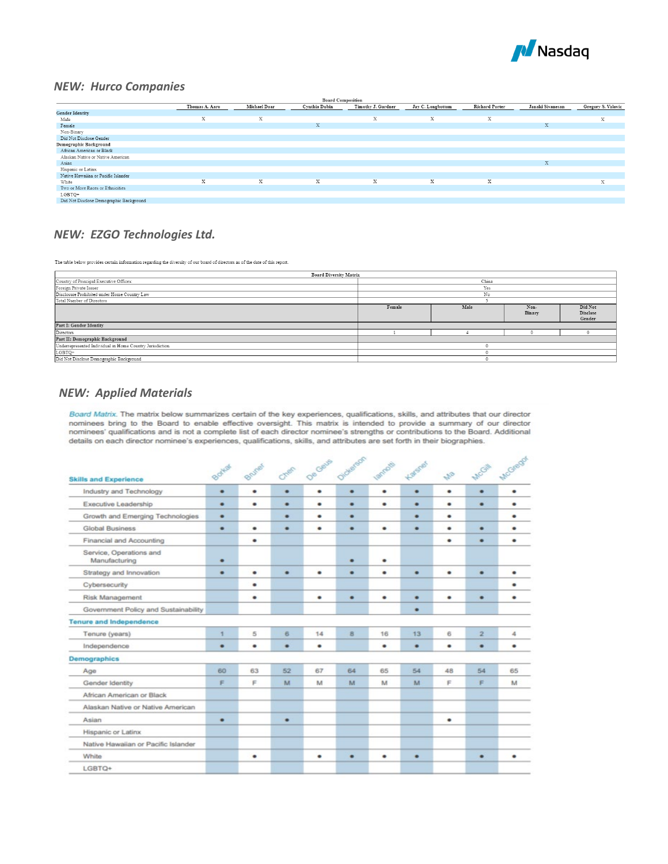

### *NEW: Hurco Companies*

| <b>Board Composition</b>                |                |                 |               |                    |                   |                       |                  |                    |
|-----------------------------------------|----------------|-----------------|---------------|--------------------|-------------------|-----------------------|------------------|--------------------|
|                                         | Thomas A. Aaro | Michael Doar    | Cynthia Dubin | Timothy J. Gardner | Jay C. Longbottom | <b>Richard Porter</b> | Janaki Sivanesan | Gregory S. Volovic |
| <b>Gender Identity</b>                  |                |                 |               |                    |                   |                       |                  |                    |
| Male                                    | X              | 32<br>$\lambda$ |               | $\mathbf{v}$<br>л. | X                 | 3.2<br>$\sim$         |                  | X                  |
| Female                                  |                |                 | X             |                    |                   |                       | X                |                    |
| Non-Binary                              |                |                 |               |                    |                   |                       |                  |                    |
| Did Not Disclose Gender                 |                |                 |               |                    |                   |                       |                  |                    |
| Demographic Background                  |                |                 |               |                    |                   |                       |                  |                    |
| African American or Black               |                |                 |               |                    |                   |                       |                  |                    |
| Alaskan Native or Native American       |                |                 |               |                    |                   |                       |                  |                    |
| Asian                                   |                |                 |               |                    |                   |                       | X                |                    |
| Hispanic or Latinx                      |                |                 |               |                    |                   |                       |                  |                    |
| Native Hawaiian or Pacific Islander     |                |                 |               |                    |                   |                       |                  |                    |
| White                                   | X              | X               | X             | X                  | X                 | X                     |                  | $\mathbf{v}$<br>л. |
| Two or More Races or Ethnicities        |                |                 |               |                    |                   |                       |                  |                    |
| LGBTQ+                                  |                |                 |               |                    |                   |                       |                  |                    |
| Did Not Disclose Demographic Background |                |                 |               |                    |                   |                       |                  |                    |

## *NEW: EZGO Technologies Ltd.*

The table below provides certain information regarding the diversity of our board of directors as of the date of this report.

| <b>Board Diversity Matrix</b>                            |                                  |     |  |  |  |  |  |  |
|----------------------------------------------------------|----------------------------------|-----|--|--|--|--|--|--|
| Country of Principal Executive Offices:                  | China                            |     |  |  |  |  |  |  |
| Foreign Private Issuer                                   |                                  | Yes |  |  |  |  |  |  |
| Disclosure Prohibited under Home Country Law             |                                  | No  |  |  |  |  |  |  |
| Total Number of Directors                                |                                  |     |  |  |  |  |  |  |
|                                                          | Male<br>Female<br>Non-<br>Binary |     |  |  |  |  |  |  |
| Part I: Gender Identity                                  |                                  |     |  |  |  |  |  |  |
| Directors                                                |                                  |     |  |  |  |  |  |  |
| Part II: Demographic Background                          |                                  |     |  |  |  |  |  |  |
| Underrepresented Individual in Home Country Jurisdiction |                                  |     |  |  |  |  |  |  |
| LGBTQ+                                                   |                                  |     |  |  |  |  |  |  |
| Did Not Disclose Demographic Background                  |                                  |     |  |  |  |  |  |  |

## *NEW: Applied Materials*

Board Matrix. The matrix below summarizes certain of the key experiences, qualifications, skills, and attributes that our director nominees bring to the Board to enable effective oversight. This matrix is intended to provide a summary of our director nominees' qualifications and is not a complete list of each director nominee's strengths or contributions to the Board. Additional details on each director nominee's experiences, qualifications, skills, and attributes are set forth in their biographies.

| <b>Skills and Experience</b>             | Boylar | Brunet | Chen | Oe Geus   | Oldrefson amedi |    | Karsner | MB | MCGIN          | McGrego |
|------------------------------------------|--------|--------|------|-----------|-----------------|----|---------|----|----------------|---------|
| Industry and Technology                  | ٠      | ٠      | ٠    | $\bullet$ | ٠               | ٠  | ٠       | ٠  | ٠              | ٠       |
| Executive Leadership                     | ٠      | ٠      | ٠    | ٠         | ٠               | ٠  | ٠       | ٠  | ٠              | ٠       |
| Growth and Emerging Technologies         | ٠      |        | ٠    | ٠         | ٠               |    | ٠       | ٠  |                | ٠       |
| <b>Global Business</b>                   | ٠      | ٠      | ٠    | ٠         | ٠               | ٠  | ٠       | ٠  | ٠              | ٠       |
| Financial and Accounting                 |        | ٠      |      |           |                 |    |         | ٠  | ٠              | ٠       |
| Service, Operations and<br>Manufacturing | ٠      |        |      |           | ٠               | ٠  |         |    |                |         |
| Strategy and Innovation                  | ٠      | ٠      | ٠    | ٠         | ۰               | ٠  | ٠       | ٠  | ٠              |         |
| Cybersecurity                            |        | ٠      |      |           |                 |    |         |    |                |         |
| Risk Management                          |        | ٠      |      | ٠         | ٠               | ٠  | ٠       | ٠  | ٠              |         |
| Government Policy and Sustainability     |        |        |      |           |                 |    | ٠       |    |                |         |
| <b>Tenure and Independence</b>           |        |        |      |           |                 |    |         |    |                |         |
| Tenure (years)                           | 1      | 5      | 6    | 14        | $\mathbf{B}$    | 16 | 13      | 6  | $\overline{2}$ | 4       |
| Independence                             | ٠      | ٠      | ٠    | ٠         |                 | ٠  | ٠       | ٠  | ٠              | ٠       |
| <b>Demographics</b>                      |        |        |      |           |                 |    |         |    |                |         |
| Age                                      | 60     | 63     | 52   | 67        | 64              | 65 | 54      | 48 | 54             | 65      |
| Gender Identity                          | F      | F      | M    | M         | M               | M  | M       | F  | F              | M       |
| African American or Black                |        |        |      |           |                 |    |         |    |                |         |
| Alaskan Native or Native American        |        |        |      |           |                 |    |         |    |                |         |
| Asian                                    | ٠      |        | ٠    |           |                 |    |         | ٠  |                |         |
| Hispanic or Latinx                       |        |        |      |           |                 |    |         |    |                |         |
| Native Hawaiian or Pacific Islander      |        |        |      |           |                 |    |         |    |                |         |
| White                                    |        | ٠      |      | ٠         | ٠               | ٠  | ٠       |    | ٠              | ٠       |
| LGBTQ+                                   |        |        |      |           |                 |    |         |    |                |         |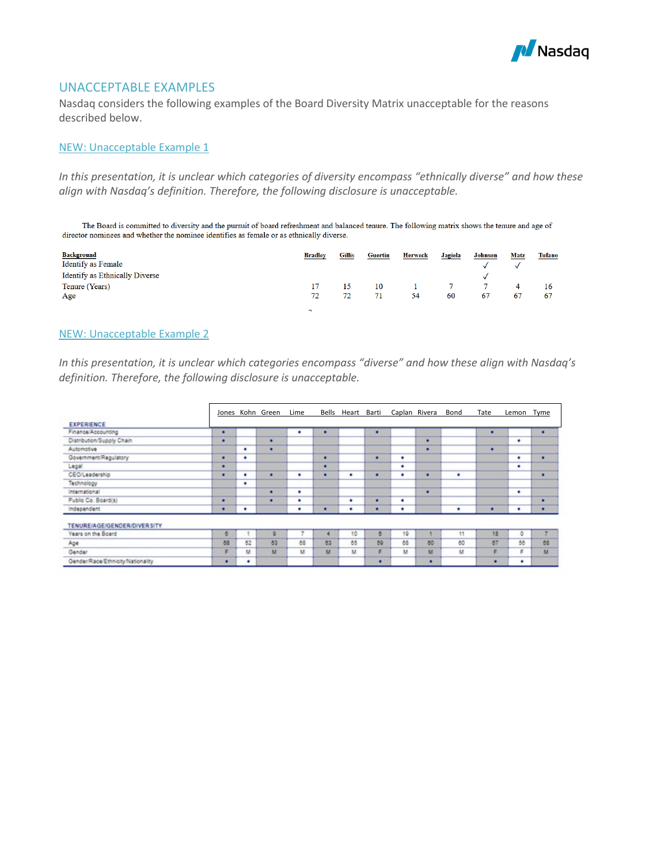

## UNACCEPTABLE EXAMPLES

Nasdaq considers the following examples of the Board Diversity Matrix unacceptable for the reasons described below.

#### NEW: Unacceptable Example 1

*In this presentation, it is unclear which categories of diversity encompass "ethnically diverse" and how these align with Nasdaq's definition. Therefore, the following disclosure is unacceptable.* 

The Board is committed to diversity and the pursuit of board refreshment and balanced tenure. The following matrix shows the tenure and age of director nominees and whether the nominee identifies as female or as ethnically diverse.

| <b>Background</b>              | <b>Bradley</b> | Gillis | <b>Guertin</b> | <b>Herweck</b> | <b>Jagiela</b> | <b>Johnson</b> | Matz | Tufano |
|--------------------------------|----------------|--------|----------------|----------------|----------------|----------------|------|--------|
| Identify as Female             |                |        |                |                |                |                |      |        |
| Identify as Ethnically Diverse |                |        |                |                |                |                |      |        |
| Tenure (Years)                 |                |        | 10             |                |                |                | 4    |        |
| Age                            | 72             |        |                | 54             | 60             | 67             | 67   | 67     |
|                                | $\mathbf{r}$   |        |                |                |                |                |      |        |

#### NEW: Unacceptable Example 2

*In this presentation, it is unclear which categories encompass "diverse" and how these align with Nasdaq's definition. Therefore, the following disclosure is unacceptable.* 

|                                   |    |    | Jones Kohn Green | Lime | Bells | Heart | Barti |    | Caplan Rivera | Bond | Tate | Lemon | Tyme      |
|-----------------------------------|----|----|------------------|------|-------|-------|-------|----|---------------|------|------|-------|-----------|
| <b>EXPERIENCE</b>                 |    |    |                  |      |       |       |       |    |               |      |      |       |           |
| Finance/Accounting                | ٠  |    |                  | ٠    | ٠     |       | ٠     |    |               |      | ٠    |       | ٠         |
| Distribution/Supply Chain         | ٠  |    | ٠                |      |       |       |       |    | ٠             |      |      | ۰     |           |
| Automotive                        |    | ٠  | ٠                |      |       |       |       |    | ٠             |      | ٠    |       |           |
| Government/Regulatory             | ٠  | ٠  |                  |      | ٠     |       | ٠     | ٠  |               |      |      | ٠     | ٠         |
| Legal                             | ٠  |    |                  |      | ٠     |       |       | ٠  |               |      |      | ٠     |           |
| <b>CEO/Leadership</b>             | ٠  | ۰  | ٠                | ٠    | ٠     | ٠     | ٠     | ٠  | ٠             | ٠    |      |       | ٠         |
| Technology                        |    | ٠  |                  |      |       |       |       |    |               |      |      |       |           |
| International                     |    |    | ٠                | ٠    |       |       |       |    | ٠             |      |      | ٠     |           |
| Public Co. Board(s)               | ٠  |    | ٠                | ٠    |       | ٠     |       | ۰  |               |      |      |       | ٠         |
| Independent                       | ٠  | ٠  |                  | ٠    | ٠     | ٠     |       | ٠  |               | ٠    | ٠    | ٠     | ٠         |
| TENURE/AGE/GENDER/DIVER SITY      |    |    |                  |      |       |       |       |    |               |      |      |       |           |
| Years on the Board                | в  |    |                  |      |       | 10    | e     | 19 |               | 11   | 18   | ٥     |           |
| Age                               | 68 | 62 | 63               | 68   | 63    | 65    | 59    | 68 | 60            | 60   | 67   | 55    | <b>OB</b> |
| Gender                            | F  | м  | M                | M    | M     | M     | F     | M  | M             | M    | F    | F     | M         |
| Gender/Race/Ethnicity/Nationality | ٠  | ٠  |                  |      |       |       | ٠     |    | ٠             |      | ٠    | ٠     |           |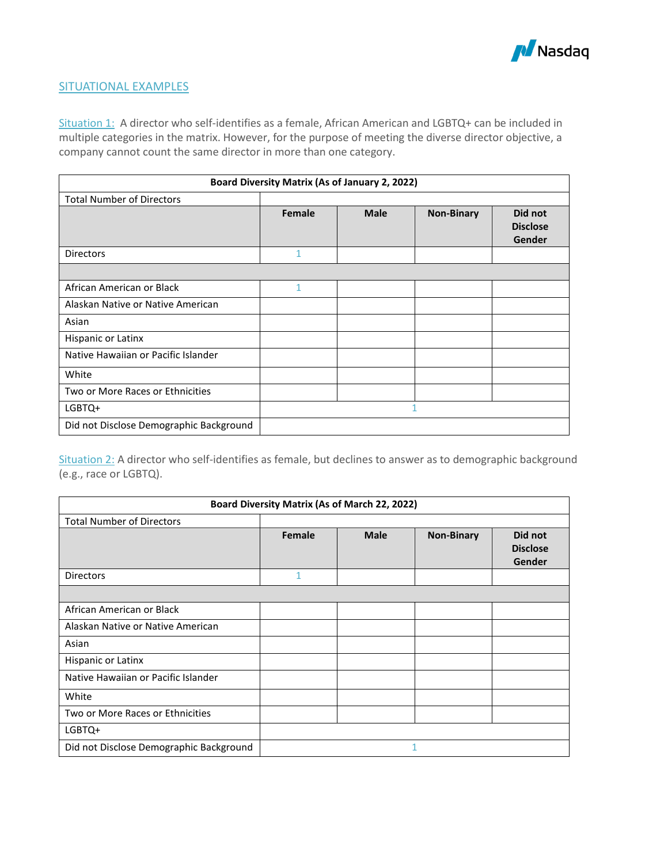

## SITUATIONAL EXAMPLES

Situation 1: A director who self-identifies as a female, African American and LGBTQ+ can be included in multiple categories in the matrix. However, for the purpose of meeting the diverse director objective, a company cannot count the same director in more than one category.

| <b>Board Diversity Matrix (As of January 2, 2022)</b> |        |             |                   |                                      |  |  |  |
|-------------------------------------------------------|--------|-------------|-------------------|--------------------------------------|--|--|--|
| <b>Total Number of Directors</b>                      |        |             |                   |                                      |  |  |  |
|                                                       | Female | <b>Male</b> | <b>Non-Binary</b> | Did not<br><b>Disclose</b><br>Gender |  |  |  |
| <b>Directors</b>                                      | 1      |             |                   |                                      |  |  |  |
|                                                       |        |             |                   |                                      |  |  |  |
| African American or Black                             | 1      |             |                   |                                      |  |  |  |
| Alaskan Native or Native American                     |        |             |                   |                                      |  |  |  |
| Asian                                                 |        |             |                   |                                      |  |  |  |
| Hispanic or Latinx                                    |        |             |                   |                                      |  |  |  |
| Native Hawaiian or Pacific Islander                   |        |             |                   |                                      |  |  |  |
| White                                                 |        |             |                   |                                      |  |  |  |
| Two or More Races or Ethnicities                      |        |             |                   |                                      |  |  |  |
| LGBTQ+                                                |        |             | 1                 |                                      |  |  |  |
| Did not Disclose Demographic Background               |        |             |                   |                                      |  |  |  |

Situation 2: A director who self-identifies as female, but declines to answer as to demographic background (e.g., race or LGBTQ).

| Board Diversity Matrix (As of March 22, 2022) |              |             |                   |                                      |  |  |  |  |  |  |
|-----------------------------------------------|--------------|-------------|-------------------|--------------------------------------|--|--|--|--|--|--|
| <b>Total Number of Directors</b>              |              |             |                   |                                      |  |  |  |  |  |  |
|                                               | Female       | <b>Male</b> | <b>Non-Binary</b> | Did not<br><b>Disclose</b><br>Gender |  |  |  |  |  |  |
| <b>Directors</b>                              | $\mathbf{1}$ |             |                   |                                      |  |  |  |  |  |  |
|                                               |              |             |                   |                                      |  |  |  |  |  |  |
| African American or Black                     |              |             |                   |                                      |  |  |  |  |  |  |
| Alaskan Native or Native American             |              |             |                   |                                      |  |  |  |  |  |  |
| Asian                                         |              |             |                   |                                      |  |  |  |  |  |  |
| Hispanic or Latinx                            |              |             |                   |                                      |  |  |  |  |  |  |
| Native Hawaiian or Pacific Islander           |              |             |                   |                                      |  |  |  |  |  |  |
| White                                         |              |             |                   |                                      |  |  |  |  |  |  |
| Two or More Races or Ethnicities              |              |             |                   |                                      |  |  |  |  |  |  |
| LGBTQ+                                        |              |             |                   |                                      |  |  |  |  |  |  |
| Did not Disclose Demographic Background       | 1            |             |                   |                                      |  |  |  |  |  |  |